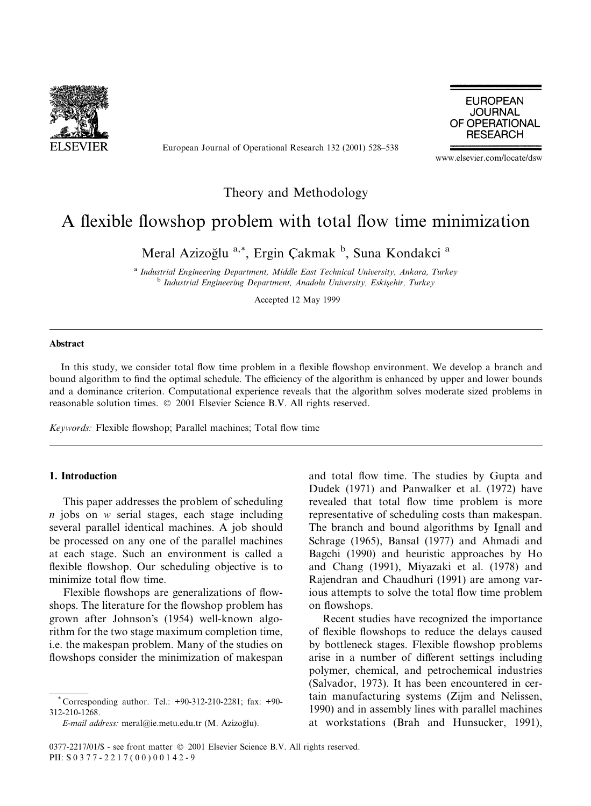

European Journal of Operational Research 132 (2001) 528–538

**EUROPEAN JOURNAL** OF OPERATIONAL **RESEARCH** 

www.elsevier.com/locate/dsw

### Theory and Methodology

## A flexible flowshop problem with total flow time minimization

Meral Azizoğlu<sup>a,\*</sup>, Ergin Çakmak<sup>b</sup>, Suna Kondakci<sup>a</sup>

<sup>a</sup> Industrial Engineering Department, Middle East Technical University, Ankara, Turkey <sup>b</sup> Industrial Engineering Department, Anadolu University, Eskişehir, Turkey

Accepted 12 May 1999

#### Abstract

In this study, we consider total flow time problem in a flexible flowshop environment. We develop a branch and bound algorithm to find the optimal schedule. The efficiency of the algorithm is enhanced by upper and lower bounds and a dominance criterion. Computational experience reveals that the algorithm solves moderate sized problems in reasonable solution times. © 2001 Elsevier Science B.V. All rights reserved.

Keywords: Flexible flowshop; Parallel machines; Total flow time

#### 1. Introduction

This paper addresses the problem of scheduling  $n$  jobs on  $w$  serial stages, each stage including several parallel identical machines. A job should be processed on any one of the parallel machines at each stage. Such an environment is called a flexible flowshop. Our scheduling objective is to minimize total flow time.

Flexible flowshops are generalizations of flowshops. The literature for the flowshop problem has grown after Johnson's (1954) well-known algorithm for the two stage maximum completion time, i.e. the makespan problem. Many of the studies on flowshops consider the minimization of makespan

E-mail address: meral@ie.metu.edu.tr (M. Azizoğlu).

and total flow time. The studies by Gupta and Dudek (1971) and Panwalker et al. (1972) have revealed that total flow time problem is more representative of scheduling costs than makespan. The branch and bound algorithms by Ignall and Schrage (1965), Bansal (1977) and Ahmadi and Bagchi (1990) and heuristic approaches by Ho and Chang (1991), Miyazaki et al. (1978) and Rajendran and Chaudhuri (1991) are among various attempts to solve the total flow time problem on flowshops.

Recent studies have recognized the importance of flexible flowshops to reduce the delays caused by bottleneck stages. Flexible flowshop problems arise in a number of different settings including polymer, chemical, and petrochemical industries (Salvador, 1973). It has been encountered in certain manufacturing systems (Zijm and Nelissen, 1990) and in assembly lines with parallel machines at workstations (Brah and Hunsucker, 1991),

Corresponding author. Tel.: +90-312-210-2281; fax: +90-312-210-1268.

<sup>0377-2217/01/\$ -</sup> see front matter © 2001 Elsevier Science B.V. All rights reserved. PII: S 0 3 7 7 - 2 2 1 7 (00) 0 0 1 4 2 - 9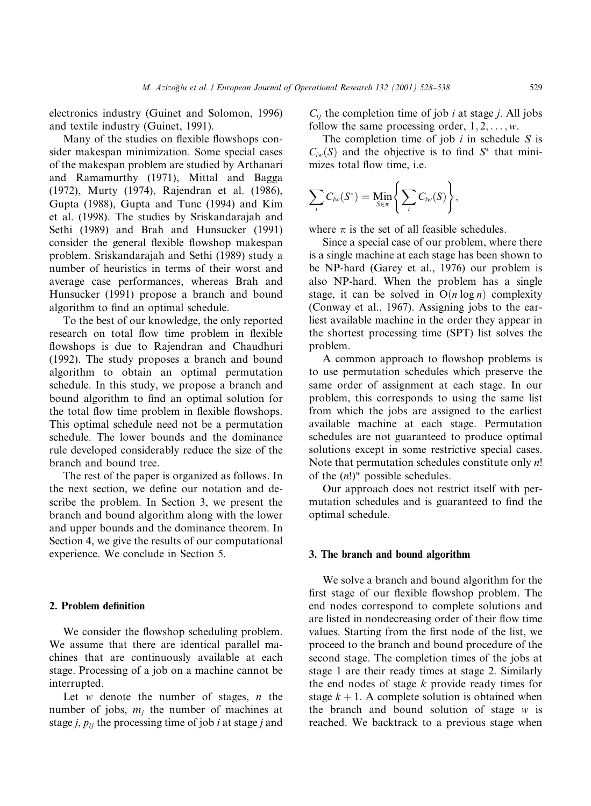electronics industry (Guinet and Solomon, 1996) and textile industry (Guinet, 1991).

Many of the studies on flexible flowshops consider makespan minimization. Some special cases of the makespan problem are studied by Arthanari and Ramamurthy (1971), Mittal and Bagga (1972), Murty (1974), Rajendran et al. (1986), Gupta (1988), Gupta and Tunc (1994) and Kim et al. (1998). The studies by Sriskandarajah and Sethi (1989) and Brah and Hunsucker (1991) consider the general flexible flowshop makespan problem. Sriskandarajah and Sethi (1989) study a number of heuristics in terms of their worst and average case performances, whereas Brah and Hunsucker (1991) propose a branch and bound algorithm to find an optimal schedule.

To the best of our knowledge, the only reported research on total flow time problem in flexible flowshops is due to Rajendran and Chaudhuri (1992). The study proposes a branch and bound algorithm to obtain an optimal permutation schedule. In this study, we propose a branch and bound algorithm to find an optimal solution for the total flow time problem in flexible flowshops. This optimal schedule need not be a permutation schedule. The lower bounds and the dominance rule developed considerably reduce the size of the branch and bound tree.

The rest of the paper is organized as follows. In the next section, we define our notation and describe the problem. In Section 3, we present the branch and bound algorithm along with the lower and upper bounds and the dominance theorem. In Section 4, we give the results of our computational experience. We conclude in Section 5.

#### 2. Problem definition

We consider the flowshop scheduling problem. We assume that there are identical parallel machines that are continuously available at each stage. Processing of a job on a machine cannot be interrupted.

Let  $w$  denote the number of stages,  $n$  the number of jobs,  $m_i$  the number of machines at stage *j*,  $p_{ij}$  the processing time of job *i* at stage *j* and  $C_{ii}$  the completion time of job *i* at stage *j*. All jobs follow the same processing order,  $1, 2, \ldots, w$ .

The completion time of job  $i$  in schedule  $S$  is  $C_{iw}(S)$  and the objective is to find  $S^*$  that minimizes total flow time, i.e.

$$
\sum_i C_{i w}(S^*) = \min_{S \in \pi} \bigg\{ \sum_i C_{i w}(S) \bigg\},
$$

where  $\pi$  is the set of all feasible schedules.

Since a special case of our problem, where there is a single machine at each stage has been shown to be NP-hard (Garey et al., 1976) our problem is also NP-hard. When the problem has a single stage, it can be solved in  $O(n \log n)$  complexity (Conway et al., 1967). Assigning jobs to the earliest available machine in the order they appear in the shortest processing time (SPT) list solves the problem.

A common approach to flowshop problems is to use permutation schedules which preserve the same order of assignment at each stage. In our problem, this corresponds to using the same list from which the jobs are assigned to the earliest available machine at each stage. Permutation schedules are not guaranteed to produce optimal solutions except in some restrictive special cases. Note that permutation schedules constitute only  $n!$ of the  $(n!)^w$  possible schedules.

Our approach does not restrict itself with permutation schedules and is guaranteed to find the optimal schedule.

#### 3. The branch and bound algorithm

We solve a branch and bound algorithm for the first stage of our flexible flowshop problem. The end nodes correspond to complete solutions and are listed in nondecreasing order of their flow time values. Starting from the first node of the list, we proceed to the branch and bound procedure of the second stage. The completion times of the jobs at stage 1 are their ready times at stage 2. Similarly the end nodes of stage  $k$  provide ready times for stage  $k + 1$ . A complete solution is obtained when the branch and bound solution of stage  $w$  is reached. We backtrack to a previous stage when